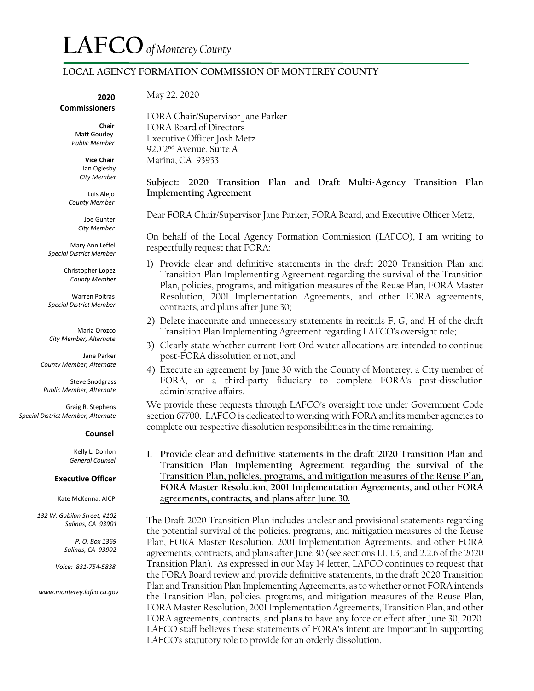### **LOCAL AGENCY FORMATION COMMISSION OF MONTEREY COUNTY**

#### **2020 Commissioners**

 **Chair** Matt Gourley

 **Vice Chair** Ian Oglesby

 *Public Member* 

 *City Member*

Luis Alejo  *County Member*

> Joe Gunter  *City Member*

**Mary Ann Leffel**  *Special District Member*

> Christopher Lopez  *County Member*

 Warren Poitras *Special District Member*

 Maria Orozco *City Member, Alternate*

Jane Parker *County Member, Alternate*

 Steve Snodgrass *Public Member, Alternate*

 Graig R. Stephens *Special District Member, Alternate* 

#### **Counsel**

 Kelly L. Donlon  *General Counsel*

#### **Executive Officer**

Kate McKenna, AICP

 *132 W. Gabilan Street, #102 Salinas, CA 93901*

> *P. O. Box 1369 Salinas, CA 93902*

 *Voice: 831-754-5838*

 *www.monterey.lafco.ca.gov*

May 22, 2020

FORA Chair/Supervisor Jane Parker FORA Board of Directors Executive Officer Josh Metz 920 2nd Avenue, Suite A Marina, CA 93933

#### **Subject: 2020 Transition Plan and Draft Multi-Agency Transition Plan Implementing Agreement**

\_

Dear FORA Chair/Supervisor Jane Parker, FORA Board, and Executive Officer Metz,

On behalf of the Local Agency Formation Commission (LAFCO), I am writing to respectfully request that FORA:

- 1) Provide clear and definitive statements in the draft 2020 Transition Plan and Transition Plan Implementing Agreement regarding the survival of the Transition Plan, policies, programs, and mitigation measures of the Reuse Plan, FORA Master Resolution, 2001 Implementation Agreements, and other FORA agreements, contracts, and plans after June 30;
- 2) Delete inaccurate and unnecessary statements in recitals F, G, and H of the draft Transition Plan Implementing Agreement regarding LAFCO's oversight role;
- 3) Clearly state whether current Fort Ord water allocations are intended to continue post-FORA dissolution or not, and
- 4) Execute an agreement by June 30 with the County of Monterey, a City member of FORA, or a third-party fiduciary to complete FORA's post-dissolution administrative affairs.

We provide these requests through LAFCO's oversight role under Government Code section 67700. LAFCO is dedicated to working with FORA and its member agencies to complete our respective dissolution responsibilities in the time remaining.

**1. Provide clear and definitive statements in the draft 2020 Transition Plan and Transition Plan Implementing Agreement regarding the survival of the Transition Plan, policies, programs, and mitigation measures of the Reuse Plan, FORA Master Resolution, 2001 Implementation Agreements, and other FORA agreements, contracts, and plans after June 30.**

The Draft 2020 Transition Plan includes unclear and provisional statements regarding the potential survival of the policies, programs, and mitigation measures of the Reuse Plan, FORA Master Resolution, 2001 Implementation Agreements, and other FORA agreements, contracts, and plans after June 30 (see sections 1.1, 1.3, and 2.2.6 of the 2020 Transition Plan). As expressed in our May 14 letter, LAFCO continues to request that the FORA Board review and provide definitive statements, in the draft 2020 Transition Plan and Transition Plan Implementing Agreements, as to whether or not FORA intends the Transition Plan, policies, programs, and mitigation measures of the Reuse Plan, FORA Master Resolution, 2001 Implementation Agreements, Transition Plan, and other FORA agreements, contracts, and plans to have any force or effect after June 30, 2020. LAFCO staff believes these statements of FORA's intent are important in supporting LAFCO's statutory role to provide for an orderly dissolution.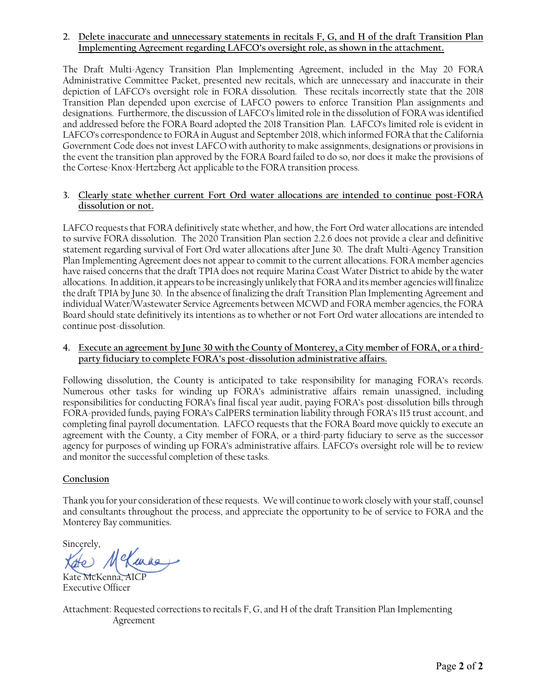## **2. Delete inaccurate and unnecessary statements in recitals F, G, and H of the draft Transition Plan Implementing Agreement regarding LAFCO's oversight role, as shown in the attachment.**

The Draft Multi-Agency Transition Plan Implementing Agreement, included in the May 20 FORA Administrative Committee Packet, presented new recitals, which are unnecessary and inaccurate in their depiction of LAFCO's oversight role in FORA dissolution. These recitals incorrectly state that the 2018 Transition Plan depended upon exercise of LAFCO powers to enforce Transition Plan assignments and designations. Furthermore, the discussion of LAFCO's limited role in the dissolution of FORA wasidentified and addressed before the FORA Board adopted the 2018 Transition Plan. LAFCO's limited role is evident in LAFCO's correspondence to FORA in August and September 2018, which informed FORA that the California Government Code does not invest LAFCO with authority to make assignments, designations or provisions in the event the transition plan approved by the FORA Board failed to do so, nor does it make the provisions of the Cortese-Knox-Hertzberg Act applicable to the FORA transition process.

## **3. Clearly state whether current Fort Ord water allocations are intended to continue post-FORA dissolution or not.**

LAFCO requests that FORA definitively state whether, and how, the Fort Ord water allocations are intended to survive FORA dissolution. The 2020 Transition Plan section 2.2.6 does not provide a clear and definitive statement regarding survival of Fort Ord water allocations after June 30. The draft Multi-Agency Transition Plan Implementing Agreement does not appear to commit to the current allocations. FORA member agencies have raised concerns that the draft TPIA does not require Marina Coast Water District to abide by the water allocations. In addition, it appears to be increasingly unlikely that FORA and its member agencies will finalize the draft TPIA by June 30. In the absence of finalizing the draft Transition Plan Implementing Agreement and individual Water/Wastewater Service Agreements between MCWD and FORA member agencies, the FORA Board should state definitively its intentions as to whether or not Fort Ord water allocations are intended to continue post-dissolution.

## **4. Execute an agreement by June 30 with the County of Monterey, a City member of FORA, or a thirdparty fiduciary to complete FORA's post-dissolution administrative affairs.**

Following dissolution, the County is anticipated to take responsibility for managing FORA's records. Numerous other tasks for winding up FORA's administrative affairs remain unassigned, including responsibilities for conducting FORA's final fiscal year audit, paying FORA's post-dissolution bills through FORA-provided funds, paying FORA's CalPERS termination liability through FORA's 115 trust account, and completing final payroll documentation. LAFCO requests that the FORA Board move quickly to execute an agreement with the County, a City member of FORA, or a third-party fiduciary to serve as the successor agency for purposes of winding up FORA's administrative affairs. LAFCO's oversight role will be to review and monitor the successful completion of these tasks.

# **Conclusion**

Thank you for your consideration of these requests. We will continue to work closely with your staff, counsel and consultants throughout the process, and appreciate the opportunity to be of service to FORA and the Monterey Bay communities.

Sincerely,<br>Kate MeKennes

Kate McKenna, AI Executive Officer

Attachment: Requested corrections to recitals F, G, and H of the draft Transition Plan Implementing Agreement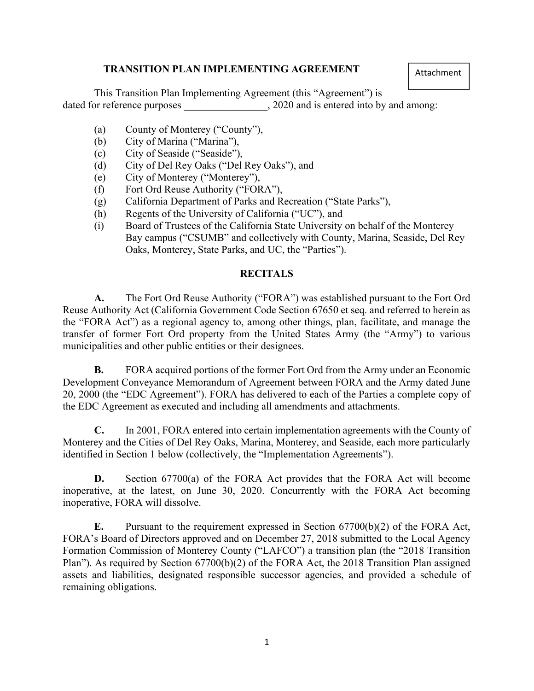# TRANSITION PLAN IMPLEMENTING AGREEMENT

Attachment

This Transition Plan Implementing Agreement (this "Agreement") is dated for reference purposes  $, 2020$  and is entered into by and among:

- (a) County of Monterey ("County"),
- (b) City of Marina ("Marina"),
- (c) City of Seaside ("Seaside"),
- (d) City of Del Rey Oaks ("Del Rey Oaks"), and
- (e) City of Monterey ("Monterey"),
- (f) Fort Ord Reuse Authority ("FORA"),
- (g) California Department of Parks and Recreation ("State Parks"),
- (h) Regents of the University of California ("UC"), and
- (i) Board of Trustees of the California State University on behalf of the Monterey Bay campus ("CSUMB" and collectively with County, Marina, Seaside, Del Rey Oaks, Monterey, State Parks, and UC, the "Parties").

# **RECITALS**

A. The Fort Ord Reuse Authority ("FORA") was established pursuant to the Fort Ord Reuse Authority Act (California Government Code Section 67650 et seq. and referred to herein as the "FORA Act") as a regional agency to, among other things, plan, facilitate, and manage the transfer of former Fort Ord property from the United States Army (the "Army") to various municipalities and other public entities or their designees.

B. FORA acquired portions of the former Fort Ord from the Army under an Economic Development Conveyance Memorandum of Agreement between FORA and the Army dated June 20, 2000 (the "EDC Agreement"). FORA has delivered to each of the Parties a complete copy of the EDC Agreement as executed and including all amendments and attachments.

C. In 2001, FORA entered into certain implementation agreements with the County of Monterey and the Cities of Del Rey Oaks, Marina, Monterey, and Seaside, each more particularly identified in Section 1 below (collectively, the "Implementation Agreements").

D. Section 67700(a) of the FORA Act provides that the FORA Act will become inoperative, at the latest, on June 30, 2020. Concurrently with the FORA Act becoming inoperative, FORA will dissolve.

E. Pursuant to the requirement expressed in Section 67700(b)(2) of the FORA Act, FORA's Board of Directors approved and on December 27, 2018 submitted to the Local Agency Formation Commission of Monterey County ("LAFCO") a transition plan (the "2018 Transition Plan"). As required by Section 67700(b)(2) of the FORA Act, the 2018 Transition Plan assigned assets and liabilities, designated responsible successor agencies, and provided a schedule of remaining obligations.